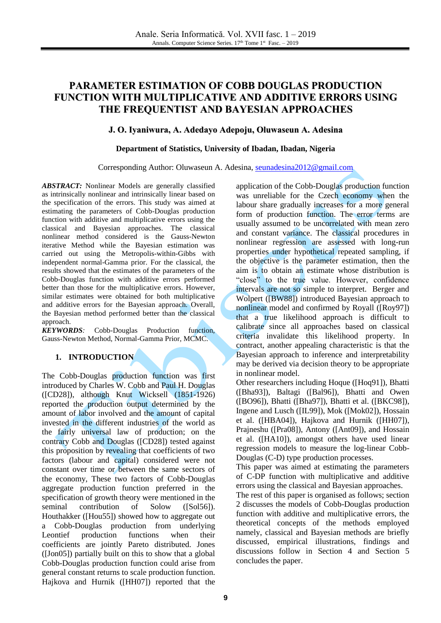# **PARAMETER ESTIMATION OF COBB DOUGLAS PRODUCTION FUNCTION WITH MULTIPLICATIVE AND ADDITIVE ERRORS USING THE FREQUENTIST AND BAYESIAN APPROACHES**

# **J. O. Iyaniwura, A. Adedayo Adepoju, Oluwaseun A. Adesina**

## **Department of Statistics, University of Ibadan, Ibadan, Nigeria**

#### Corresponding Author: Oluwaseun A. Adesina, [seunadesina2012@gmail.com](mailto:seunadesina2012@gmail.com)

*ABSTRACT:* Nonlinear Models are generally classified as intrinsically nonlinear and intrinsically linear based on the specification of the errors. This study was aimed at estimating the parameters of Cobb-Douglas production function with additive and multiplicative errors using the classical and Bayesian approaches. The classical nonlinear method considered is the Gauss-Newton iterative Method while the Bayesian estimation was carried out using the Metropolis-within-Gibbs with independent normal-Gamma prior. For the classical, the results showed that the estimates of the parameters of the Cobb-Douglas function with additive errors performed better than those for the multiplicative errors. However, similar estimates were obtained for both multiplicative and additive errors for the Bayesian approach. Overall, the Bayesian method performed better than the classical approach.

*KEYWORDS:* Cobb-Douglas Production function, Gauss-Newton Method, Normal-Gamma Prior, MCMC.

# **1. INTRODUCTION**

The Cobb-Douglas production function was first introduced by Charles W. Cobb and Paul H. Douglas ([CD28]), although Knut Wicksell (1851-1926) reported the production output determined by the amount of labor involved and the amount of capital invested in the different industries of the world as the fairly universal law of production; on the contrary Cobb and Douglas ([CD28]) tested against this proposition by revealing that coefficients of two factors (labour and capital) considered were not constant over time or between the same sectors of the economy, These two factors of Cobb-Douglas aggregate production function preferred in the specification of growth theory were mentioned in the seminal contribution of Solow ([Sol56]). Houthakker ([Hou55]) showed how to aggregate out a Cobb-Douglas production from underlying Leontief production functions when their coefficients are jointly Pareto distributed. Jones ([Jon05]) partially built on this to show that a global Cobb-Douglas production function could arise from general constant returns to scale production function. Hajkova and Hurnik ([HH07]) reported that the

application of the Cobb-Douglas production function was unreliable for the Czech economy when the labour share gradually increases for a more general form of production function. The error terms are usually assumed to be uncorrelated with mean zero and constant variance. The classical procedures in nonlinear regression are assessed with long-run properties under hypothetical repeated sampling, if the objective is the parameter estimation, then the aim is to obtain an estimate whose distribution is "close" to the true value. However, confidence intervals are not so simple to interpret. Berger and Wolpert ([BW88]) introduced Bayesian approach to nonlinear model and confirmed by Royall ([Roy97]) that a true likelihood approach is difficult to calibrate since all approaches based on classical criteria invalidate this likelihood property. In contract, another appealing characteristic is that the Bayesian approach to inference and interpretability may be derived via decision theory to be appropriate in nonlinear model.

Other researchers including Hoque ([Hoq91]), Bhatti ([Bha93]), Baltagi ([Bal96]), Bhatti and Owen ([BO96]), Bhatti ([Bha97]), Bhatti et al. ([BKC98]), Ingene and Lusch ([IL99]), Mok ([Mok02]), Hossain et al. ([HBA04]), Hajkova and Hurnik ([HH07]), Prajneshu ([Pra08]), Antony ([Ant09]), and Hossain et al. ([HA10]), amongst others have used linear regression models to measure the log-linear Cobb-Douglas (C-D) type production processes.

This paper was aimed at estimating the parameters of C-DP function with multiplicative and additive errors using the classical and Bayesian approaches.

The rest of this paper is organised as follows; section 2 discusses the models of Cobb-Douglas production function with additive and multiplicative errors, the theoretical concepts of the methods employed namely, classical and Bayesian methods are briefly discussed, empirical illustrations, findings and discussions follow in Section 4 and Section 5 concludes the paper.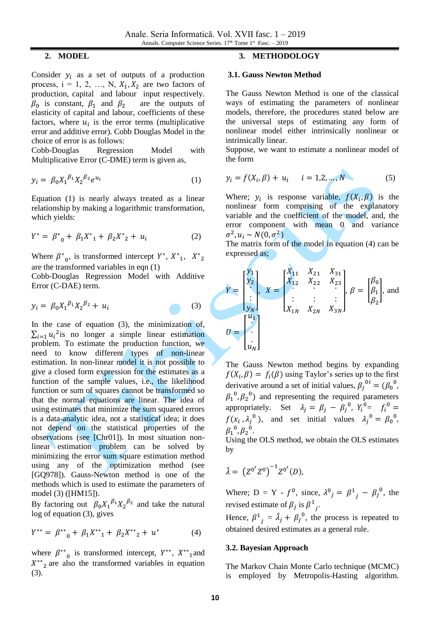# **2. MODEL**

Consider  $y_i$  as a set of outputs of a production process,  $i = 1, 2, ..., N, X_1, X_2$  are two factors of production, capital and labour input respectively.  $\beta_0$  is constant,  $\beta_1$  and  $\beta_2$  are the outputs of elasticity of capital and labour, coefficients of these factors, where  $u_i$  is the error terms (multiplicative error and additive error). Cobb Douglas Model in the choice of error is as follows:

Cobb-Douglas Regression Model with Multiplicative Error (C-DME) term is given as,

$$
y_i = \beta_0 X_1^{\beta_1} X_2^{\beta_2} e^{u_i} \tag{1}
$$

Equation (1) is nearly always treated as a linear relationship by making a logarithmic transformation, which yields:

$$
Y^* = \beta^*_{0} + \beta_1 X^*_{1} + \beta_2 X^*_{2} + u_i \tag{2}
$$

Where  $\beta^*$ <sub>0</sub>, is transformed intercept  $Y^*$ ,  $X^*$ <sub>1</sub>,  $X^*$ <sub>2</sub> are the transformed variables in eqn (1)

Cobb-Douglas Regression Model with Additive Error (C-DAE) term.

$$
y_i = \beta_0 X_1^{\beta_1} X_2^{\beta_2} + u_i \tag{3}
$$

In the case of equation (3), the minimization of,  $\sum_{i=1} u_i^2$  is no longer a simple linear estimation problem. To estimate the production function, we need to know different types of non-linear estimation. In non-linear model it is not possible to give a closed form expression for the estimates as a function of the sample values, i.e., the likelihood function or sum of squares cannot be transformed so that the normal equations are linear. The idea of using estimates that minimize the sum squared errors is a data-analytic idea, not a statistical idea; it does not depend on the statistical properties of the observations (see [Chr01]). In most situation nonlinear estimation problem can be solved by minimizing the error sum square estimation method using any of the optimization method (see [GQ978]). Gauss-Newton method is one of the methods which is used to estimate the parameters of model (3) ([HM15]).

By factoring out  $\beta_0 X_1^{\beta_1} X_2^{\beta_2}$  and take the natural log of equation (3), gives

$$
Y^{**} = \beta^{**}{}_{0} + \beta_1 X^{**}{}_{1} + \beta_2 X^{**}{}_{2} + u^{*} \tag{4}
$$

where  $\beta^{**}$  $_0$  is transformed intercept,  $Y^{**}$ ,  $X^{**}$ <sub>1</sub> and  $X^{**}$ <sub>2</sub> are also the transformed variables in equation (3).

# **3. METHODOLOGY**

#### **3.1. Gauss Newton Method**

The Gauss Newton Method is one of the classical ways of estimating the parameters of nonlinear models, therefore, the procedures stated below are the universal steps of estimating any form of nonlinear model either intrinsically nonlinear or intrinsically linear.

Suppose, we want to estimate a nonlinear model of the form

$$
y_i = f(X_i, \beta) + u_i
$$
  $i = 1, 2, ..., N$  (5)

Where;  $y_i$  is response variable,  $f(X_i, \beta)$  is the nonlinear form comprising of the explanatory variable and the coefficient of the model, and, the error component with mean 0 and variance  $\sigma^2, u_i \sim N(0, \sigma^2)$ 

The matrix form of the model in equation (4) can be expressed as;

$$
Y = \begin{bmatrix} y_1 \\ y_2 \\ \vdots \\ y_N \end{bmatrix}, X = \begin{bmatrix} X_{11} & X_{21} & X_{31} \\ X_{12} & X_{22} & X_{23} \\ \vdots & \vdots & \vdots \\ X_{1N} & X_{2N} & X_{3N} \end{bmatrix}, \beta = \begin{bmatrix} \beta_0 \\ \beta_1 \\ \beta_2 \end{bmatrix}, \text{ and}
$$

$$
U = \begin{bmatrix} u_1 \\ \vdots \\ u_N \end{bmatrix}
$$

The Gauss Newton method begins by expanding  $f(X_i, \beta) = f_i(\beta)$  using Taylor's series up to the first derivative around a set of initial values,  $\beta_j^{0i} = (\beta_0^{0})$ ,  $\beta_1^0$ ,  $\beta_2^0$ ) and representing the required parameters appropriately. Set  $\lambda_j = \beta_j - \beta_j^0$ ,  $Y_i^0 = f_i^0 =$  $f(x_i, \lambda_j^0)$ , and set initial values  $\lambda_j^0 = \beta_0^0$ ,  $\beta_1^{\ 0}$ ,  $\beta_2^{\ 0}$ .

Using the OLS method, we obtain the OLS estimates by

$$
\hat{\lambda} = (Z^{0'} Z^{0})^{-1} Z^{0'}(D),
$$

Where; D = Y -  $f^0$ , since,  $\lambda^0_j = \beta^1_j - \beta^0_j$ , the revised estimate of  $\beta_j$  is  $\beta^1$  $\int$ 

Hence,  $\beta^1$  $j = \hat{\lambda}_j + \beta_j^{0}$ , the process is repeated to obtained desired estimates as a general rule.

#### **3.2. Bayesian Approach**

The Markov Chain Monte Carlo technique (MCMC) is employed by Metropolis-Hasting algorithm.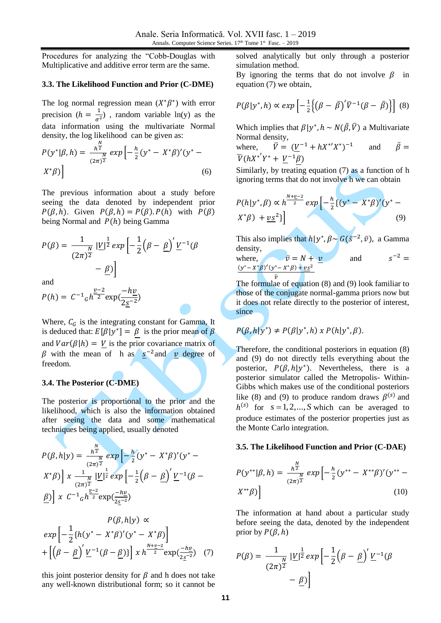Procedures for analyzing the "Cobb-Douglas with Multiplicative and additive error term are the same.

#### **3.3. The Likelihood Function and Prior (C-DME)**

The log normal regression mean  $(X^*\beta^*)$  with error precision ( $h = \frac{1}{\sigma^2}$  $\frac{1}{\sigma^2}$ ), random variable ln(y) as the data information using the multivariate Normal density, the log likelihood can be given as:

$$
P(y^*|\beta, h) = \frac{h^{\frac{N}{2}}}{(2\pi)^{\frac{N}{2}}} \exp\left[-\frac{h}{2}(y^* - X^*\beta)'(y^* - X^*\beta)\right]
$$
\n(6)

The previous information about a study before seeing the data denoted by independent prior  $P(\beta, h)$ . Given  $P(\beta, h) = P(\beta)$ .  $P(h)$  with  $P(\beta)$ being Normal and  $P(h)$  being Gamma

$$
P(\beta) = \frac{1}{(2\pi)^{\frac{N}{2}}} \left| \underline{V} \right|^{\frac{1}{2}} exp\left[ -\frac{1}{2} \left( \beta - \underline{\beta} \right)' \underline{V}^{-1} (\beta - \underline{\beta}) \right]
$$

$$
- \underline{\beta})
$$

and

$$
P(h) = C^{-1} a h^{\frac{v-2}{2}} \exp(\frac{-h v}{2 \underline{s}^{-2}})
$$

Where,  $C_G$  is the integrating constant for Gamma, It is deduced that:  $E[\beta|y^*] = \beta$  is the prior mean of  $\beta$ and  $Var(\beta|h) = V$  is the prior covariance matrix of  $\beta$  with the mean of h as  $s^{-2}$  and  $\upsilon$  degree of freedom.

#### **3.4. The Posterior (C-DME)**

The posterior is proportional to the prior and the likelihood, which is also the information obtained after seeing the data and some mathematical techniques being applied, usually denoted

$$
P(\beta, h|y) = \frac{h^{\frac{N}{2}}}{(2\pi)^{\frac{N}{2}}} \exp\left[-\frac{h}{2}(y^* - X^*\beta)'(y^* - X^*\beta)\right] x \frac{1}{(2\pi)^{\frac{N}{2}}} \frac{|V|^{\frac{1}{2}} \exp\left[-\frac{1}{2}(\beta - \underline{\beta})' \underline{V}^{-1}(\beta - \underline{\beta})\right] x C^{-1} h^{\frac{v-2}{2}} \exp(\frac{-hy}{2\underline{s}^{-2}})
$$

$$
P(\beta, h|y) \propto
$$
  
\n
$$
exp\left[-\frac{1}{2}\left\{h(y^* - X^*\beta)'(y^* - X^*\beta)\right\}\right]
$$
  
\n
$$
+ \left[\left(\beta - \underline{\beta}\right)' \underline{V}^{-1}(\beta - \underline{\beta})\right] x h^{\frac{N+\underline{v}-2}{2}} exp(\frac{-h\underline{v}}{2\underline{s}^{-2}}) \quad (7)
$$

this joint posterior density for  $\beta$  and h does not take any well-known distributional form; so it cannot be solved analytically but only through a posterior simulation method.

By ignoring the terms that do not involve  $\beta$  in equation (7) we obtain,

$$
P(\beta|y^*,h) \propto exp\left[-\frac{1}{2}\left\{ \left(\beta - \bar{\beta}\right)^{t}\bar{V}^{-1}(\beta - \bar{\beta})\right\}\right] \tag{8}
$$

Which implies that  $\beta | y^*, h \sim N(\bar{\beta}, \bar{V})$  a Multivariate Normal density,

where, 
$$
\overline{V} = (\underline{V}^{-1} + hX^*X^*)^{-1}
$$
 and  $\overline{\beta} = \overline{V(hX^*'Y^* + \underline{V}^{-1}\beta)}$ 

Similarly, by treating equation (7) as a function of h ignoring terms that do not involve h we can obtain

$$
P(h|y^*,\beta) \propto h^{\frac{N+\underline{v}-2}{2}} \exp\left[-\frac{h}{2}\left\{(y^* - X^*\beta)'(y^* - X^*\beta) + \underline{v}\underline{s}^2\right\}\right]
$$
\n(9)

This also implies that  $h|y^*, \beta \sim G(\bar{s}^{-2}, \bar{v})$ , a Gamma density,

where,  $\overline{v} = N + v$  and  $s^{-2} =$  $(y^* - X^* \beta)' (y^* - X^* \beta) + \underline{v s^2}$ 

The formulae of equation (8) and (9) look familiar to those of the conjugate normal-gamma priors now but it does not relate directly to the posterior of interest, since

$$
P(\beta, h|y^*) \neq P(\beta|y^*, h) \times P(h|y^*, \beta).
$$

Therefore, the conditional posteriors in equation (8) and (9) do not directly tells everything about the posterior,  $P(\beta, h|y^*)$ . Nevertheless, there is a posterior simulator called the Metropolis- Within-Gibbs which makes use of the conditional posteriors like (8) and (9) to produce random draws  $\beta^{(s)}$  and  $h^{(s)}$  for  $s = 1, 2, ..., S$  which can be averaged to produce estimates of the posterior properties just as the Monte Carlo integration.

# **3.5. The Likelihood Function and Prior (C-DAE)**

$$
P(y^{**}|\beta, h) = \frac{h^{\frac{N}{2}}}{(2\pi)^{\frac{N}{2}}} \exp\left[-\frac{h}{2}(y^{**} - X^{**}\beta)'(y^{**} - X^{**}\beta)\right]
$$
(10)

The information at hand about a particular study before seeing the data, denoted by the independent prior by  $P(\beta, h)$ 

$$
P(\beta) = \frac{1}{(2\pi)^{\frac{N}{2}}} \left| \underline{V} \right|^{\frac{1}{2}} exp\left[ -\frac{1}{2} \left( \beta - \underline{\beta} \right)' \underline{V}^{-1} (\beta - \underline{\beta}) \right]
$$

$$
- \underline{\beta})
$$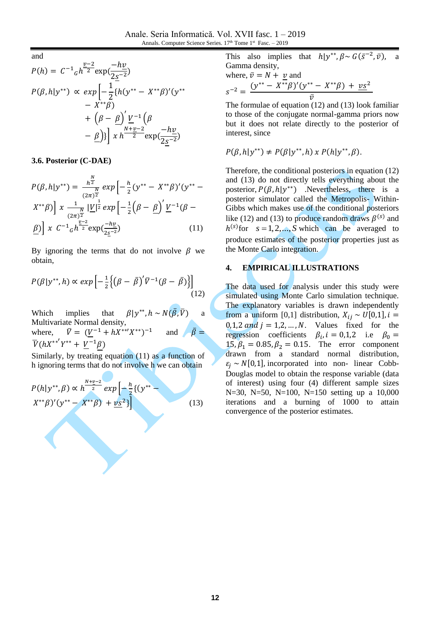and

$$
P(h) = C^{-1} {}_{G}h^{\frac{v-2}{2}} \exp(\frac{-h\underline{v}}{2\underline{s}^{-2}})
$$
  
\n
$$
P(\beta, h | y^{**}) \propto \exp\left[-\frac{1}{2} \{h(y^{**} - X^{**}\beta)'(y^{**} - X^{**}\beta)'(y^{**} - X^{**}\beta)\right] + (\beta - \underline{\beta})' \frac{V^{-1}}{2} (\beta - \underline{\beta})\} \frac{1}{x} h^{\frac{N+\underline{v}-2}{2}} \exp(\frac{-h\underline{v}}{2\underline{s}^{-2}})
$$

**3.6. Posterior (C-DAE)**

$$
P(\beta, h|y^{**}) = \frac{h^{\frac{N}{2}}}{(2\pi)^{\frac{N}{2}}} \exp\left[-\frac{h}{2}(y^{**} - X^{**}\beta)'(y^{**} - X^{**}\beta)\right]x \frac{1}{(2\pi)^{\frac{N}{2}}} \frac{|V|^{\frac{1}{2}}}{(2\pi)^{\frac{N}{2}}} \exp\left[-\frac{1}{2}\left(\beta - \underline{\beta}\right)' \underline{V}^{-1}(\beta - \underline{\beta})\right]x C^{-1}c h^{\frac{v-2}{2}} \exp(\frac{-h\nu}{2s^{-2}})
$$
(11)

By ignoring the terms that do not involve  $\beta$  we obtain,

$$
P(\beta|y^{**},h) \propto exp\left[-\frac{1}{2}\left\{ \left(\beta - \bar{\beta}\right)^{'}\bar{V}^{-1}(\beta - \bar{\beta})\right\}\right]
$$
\n(12)

Which implies that <sup>\*\*</sup>,  $h \sim N(\bar{\beta}, \bar{V})$  a Multivariate Normal density, where,  $\overline{V} = (\underline{V}^{-1} + hX^{**}X^{**})^{-1}$ and  $\overline{V}(hX^{**'}Y^{**} + \underline{V}^{-1}\beta)$ 

Similarly, by treating equation (11) as a function of h ignoring terms that do not involve h we can obtain

$$
P(h|y^{**}, \beta) \propto h^{\frac{N+\underline{v}-2}{2}} \exp\left[-\frac{h}{2}\{(y^{**}+x^{**}\beta)'(y^{**}-x^{**}\beta) + \underline{v}s^2\}\right]
$$
\n(13)

This also implies \*\*,  $\beta \sim G(\bar{s}^{-2}, \bar{\nu})$ , a Gamma density,

where, 
$$
\bar{v} = N + \underline{v}
$$
 and  
\n
$$
s^{-2} = \frac{(y^{**} - X^{**}\beta)'(y^{**} - X^{**}\beta) + \underline{v}s^2}{\bar{v}}
$$

The formulae of equation (12) and (13) look familiar to those of the conjugate normal-gamma priors now but it does not relate directly to the posterior of interest, since

$$
P(\beta, h|y^{**}) \neq P(\beta|y^{**}, h) \times P(h|y^{**}, \beta).
$$

Therefore, the conditional posteriors in equation (12) and (13) do not directly tells everything about the posterior,  $P(\beta, h|y^{**})$  .Nevertheless, there is a posterior simulator called the Metropolis- Within-Gibbs which makes use of the conditional posteriors like (12) and (13) to produce random draws  $\beta^{(s)}$  and  $h^{(s)}$  for  $s = 1, 2, ..., S$  which can be averaged to produce estimates of the posterior properties just as the Monte Carlo integration.

## **4. EMPIRICAL ILLUSTRATIONS**

The data used for analysis under this study were simulated using Monte Carlo simulation technique. The explanatory variables is drawn independently from a uniform [0,1] distribution,  $X_{ij} \sim U[0,1]$ ,  $i =$  $0,1,2$  and  $j = 1,2,...,N$ . Values fixed for the regression coefficients  $\beta_i$ ,  $i = 0,1,2$  i.e  $\beta_0 =$  $15, \beta_1 = 0.85, \beta_2 = 0.15$ . The error component drawn from a standard normal distribution,  $\varepsilon_i \sim N[0,1]$ , incorporated into non- linear Cobb-Douglas model to obtain the response variable (data of interest) using four (4) different sample sizes N=30, N=50, N=100, N=150 setting up a 10,000 iterations and a burning of 1000 to attain convergence of the posterior estimates.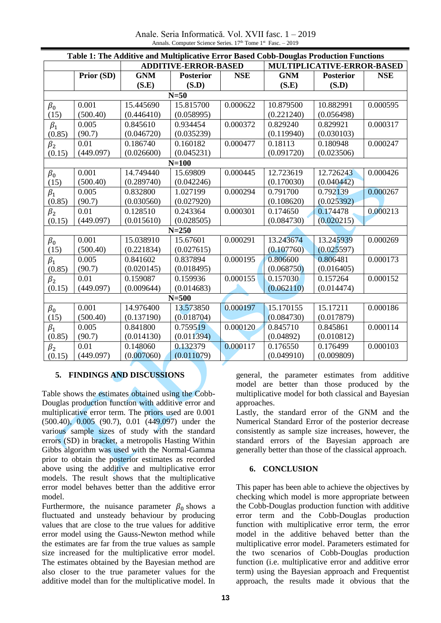Anale. Seria Informatică. Vol. XVII fasc. 1 – 2019 Annals. Computer Science Series. 17<sup>th</sup> Tome 1<sup>st</sup> Fasc. – 2019

| Table 1: The Additive and Multiplicative Error Based Cobb-Douglas Production Functions |            |                             |                  |            |                            |                  |            |
|----------------------------------------------------------------------------------------|------------|-----------------------------|------------------|------------|----------------------------|------------------|------------|
|                                                                                        |            | <b>ADDITIVE-ERROR-BASED</b> |                  |            | MULTIPLICATIVE-ERROR-BASED |                  |            |
|                                                                                        | Prior (SD) | <b>GNM</b>                  | <b>Posterior</b> | <b>NSE</b> | <b>GNM</b>                 | <b>Posterior</b> | <b>NSE</b> |
|                                                                                        |            | (S.E)                       | (S.D)            |            | (S.E)                      | (S.D)            |            |
| $N=50$                                                                                 |            |                             |                  |            |                            |                  |            |
| $\beta_0$                                                                              | 0.001      | 15.445690                   | 15.815700        | 0.000622   | 10.879500                  | 10.882991        | 0.000595   |
| (15)                                                                                   | (500.40)   | (0.446410)                  | (0.058995)       |            | (0.221240)                 | (0.056498)       |            |
| $\beta_1$                                                                              | 0.005      | 0.845610                    | 0.934454         | 0.000372   | 0.829240                   | 0.829921         | 0.000317   |
| (0.85)                                                                                 | (90.7)     | (0.046720)                  | (0.035239)       |            | (0.119940)                 | (0.030103)       |            |
| $\beta_2$                                                                              | 0.01       | 0.186740                    | 0.160182         | 0.000477   | 0.18113                    | 0.180948         | 0.000247   |
| (0.15)                                                                                 | (449.097)  | (0.026600)                  | (0.045231)       |            | (0.091720)                 | (0.023506)       |            |
| $N=100$                                                                                |            |                             |                  |            |                            |                  |            |
| $\beta_0$                                                                              | 0.001      | 14.749440                   | 15.69809         | 0.000445   | 12.723619                  | 12.726243        | 0.000426   |
| (15)                                                                                   | (500.40)   | (0.289740)                  | (0.042246)       |            | (0.170030)                 | (0.040442)       |            |
| $\beta_1$                                                                              | 0.005      | 0.832800                    | 1.027199         | 0.000294   | 0.791700                   | 0.792139         | 0.000267   |
| (0.85)                                                                                 | (90.7)     | (0.030560)                  | (0.027920)       |            | (0.108620)                 | (0.025392)       |            |
| $\beta_2$                                                                              | 0.01       | 0.128510                    | 0.243364         | 0.000301   | 0.174650                   | 0.174478         | 0.000213   |
| (0.15)                                                                                 | (449.097)  | (0.015610)                  | (0.028505)       |            | (0.084730)                 | (0.020215)       |            |
| $N = 250$                                                                              |            |                             |                  |            |                            |                  |            |
| $\beta_0$                                                                              | 0.001      | 15.038910                   | 15.67601         | 0.000291   | 13.243674                  | 13.245939        | 0.000269   |
| (15)                                                                                   | (500.40)   | (0.221834)                  | (0.027615)       |            | (0.107760)                 | (0.025597)       |            |
| $\beta_1$                                                                              | 0.005      | 0.841602                    | 0.837894         | 0.000195   | 0.806600                   | 0.806481         | 0.000173   |
| (0.85)                                                                                 | (90.7)     | (0.020145)                  | (0.018495)       |            | (0.068750)                 | (0.016405)       |            |
| $\beta_2$                                                                              | 0.01       | 0.159087                    | 0.159936         | 0.000155   | 0.157030                   | 0.157264         | 0.000152   |
| (0.15)                                                                                 | (449.097)  | (0.009644)                  | (0.014683)       |            | (0.062110)                 | (0.014474)       |            |
| $N = 500$                                                                              |            |                             |                  |            |                            |                  |            |
| $\beta_0$                                                                              | 0.001      | 14.976400                   | 13.573850        | 0.000197   | 15.170155                  | 15.17211         | 0.000186   |
| (15)                                                                                   | (500.40)   | (0.137190)                  | (0.018704)       |            | (0.084730)                 | (0.017879)       |            |
| $\beta_1$                                                                              | 0.005      | 0.841800                    | 0.759519         | 0.000120   | 0.845710                   | 0.845861         | 0.000114   |
| (0.85)                                                                                 | (90.7)     | (0.014130)                  | (0.011394)       |            | (0.04892)                  | (0.010812)       |            |
| $\beta_2$                                                                              | 0.01       | 0.148060                    | 0.132379         | 0.000117   | 0.176550                   | 0.176499         | 0.000103   |
| (0.15)                                                                                 | (449.097)  | (0.007060)                  | (0.011079)       |            | (0.049910)                 | (0.009809)       |            |

# **5. FINDINGS AND DISCUSSIONS**

Table shows the estimates obtained using the Cobb-Douglas production function with additive error and multiplicative error term. The priors used are 0.001 (500.40), 0.005 (90.7), 0.01 (449.097) under the various sample sizes of study with the standard errors (SD) in bracket, a metropolis Hasting Within Gibbs algorithm was used with the Normal-Gamma prior to obtain the posterior estimates as recorded above using the additive and multiplicative error models. The result shows that the multiplicative error model behaves better than the additive error model.

Furthermore, the nuisance parameter  $\beta_0$  shows a fluctuated and unsteady behaviour by producing values that are close to the true values for additive error model using the Gauss-Newton method while the estimates are far from the true values as sample size increased for the multiplicative error model. The estimates obtained by the Bayesian method are also closer to the true parameter values for the additive model than for the multiplicative model. In

general, the parameter estimates from additive model are better than those produced by the multiplicative model for both classical and Bayesian approaches.

Lastly, the standard error of the GNM and the Numerical Standard Error of the posterior decrease consistently as sample size increases, however, the standard errors of the Bayesian approach are generally better than those of the classical approach.

# **6. CONCLUSION**

This paper has been able to achieve the objectives by checking which model is more appropriate between the Cobb-Douglas production function with additive error term and the Cobb-Douglas production function with multiplicative error term, the error model in the additive behaved better than the multiplicative error model. Parameters estimated for the two scenarios of Cobb-Douglas production function (i.e. multiplicative error and additive error term) using the Bayesian approach and Frequentist approach, the results made it obvious that the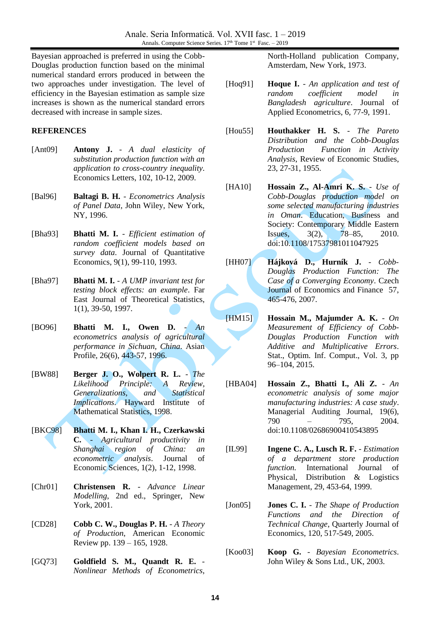Bayesian approached is preferred in using the Cobb-Douglas production function based on the minimal numerical standard errors produced in between the two approaches under investigation. The level of efficiency in the Bayesian estimation as sample size increases is shown as the numerical standard errors decreased with increase in sample sizes.

# **REFERENCES**

- [Ant09] **Antony J.** *A dual elasticity of substitution production function with an application to cross-country inequality*. Economics Letters, 102, 10-12, 2009.
- [Bal96] **Baltagi B. H.** *Econometrics Analysis of Panel Data*, John Wiley, New York, NY, 1996.
- [Bha93] **Bhatti M. I.** *Efficient estimation of random coefficient models based on survey data*. Journal of Quantitative Economics, 9(1), 99-110, 1993.
- [Bha97] **Bhatti M. I.** *A UMP invariant test for testing block effects: an example*. Far East Journal of Theoretical Statistics, 1(1), 39-50, 1997.
- [BO96] **Bhatti M. I., Owen D.** *An econometrics analysis of agricultural performance in Sichuan, China*. Asian Profile, 26(6), 443-57, 1996.
- [BW88] **Berger J. O., Wolpert R. L.**  *The Likelihood Principle: A Review, Generalizations, and Statistical Implications*. Hayward Institute of Mathematical Statistics, 1998.
- [BKC98] **Bhatti M. I., Khan I. H., Czerkawski C.** - *Agricultural productivity in Shanghai region of China: an econometric analysis*. Journal of Economic Sciences, 1(2), 1-12, 1998.
- [Chr01] **Christensen R.** *Advance Linear Modelling*, 2nd ed., Springer, New York, 2001.
- [CD28] **Cobb C. W., Douglas P. H.** *A Theory of Production*, American Economic Review pp. 139 – 165, 1928.
- [GQ73] **Goldfield S. M., Quandt R. E.** *Nonlinear Methods of Econometrics*,

North-Holland publication Company, Amsterdam, New York, 1973.

- [Hoq91] **Hoque I.** *An application and test of random coefficient model in Bangladesh agriculture*. Journal of Applied Econometrics, 6, 77-9, 1991.
- [Hou55] **Houthakker H. S.** *The Pareto Distribution and the Cobb-Douglas Production Function in Activity Analysis*, Review of Economic Studies, 23, 27-31, 1955.
- [HA10] **Hossain Z., Al-Amri K. S.** *Use of Cobb-Douglas production model on some selected manufacturing industries in Oman*. Education, Business and Society: Contemporary Middle Eastern Issues, 3(2), 78–85, 2010. doi:10.1108/17537981011047925
- [HH07] **Hájková D., Hurník J.** *Cobb-Douglas Production Function: The Case of a Converging Economy*. Czech Journal of Economics and Finance 57, 465-476, 2007.
- [HM15] **Hossain M., Majumder A. K.** *On Measurement of Efficiency of Cobb-Douglas Production Function with Additive and Multiplicative Errors*. Stat., Optim. Inf. Comput., Vol. 3, pp 96–104, 2015.
- [HBA04] **Hossain Z., Bhatti I., Ali Z.** *An econometric analysis of some major manufacturing industries: A case study*. Managerial Auditing Journal, 19(6), 790 – 795, 2004. doi:10.1108/02686900410543895
- [IL99] **Ingene C. A., Lusch R. F.** *Estimation of a department store production function.* International Journal of Physical, Distribution & Logistics Management, 29, 453-64, 1999.
- [Jon05] **Jones C. I.** *The Shape of Production Functions and the Direction of Technical Change*, Quarterly Journal of Economics, 120, 517-549, 2005.
- [Koo03] **Koop G.** *Bayesian Econometrics*. John Wiley & Sons Ltd., UK, 2003.